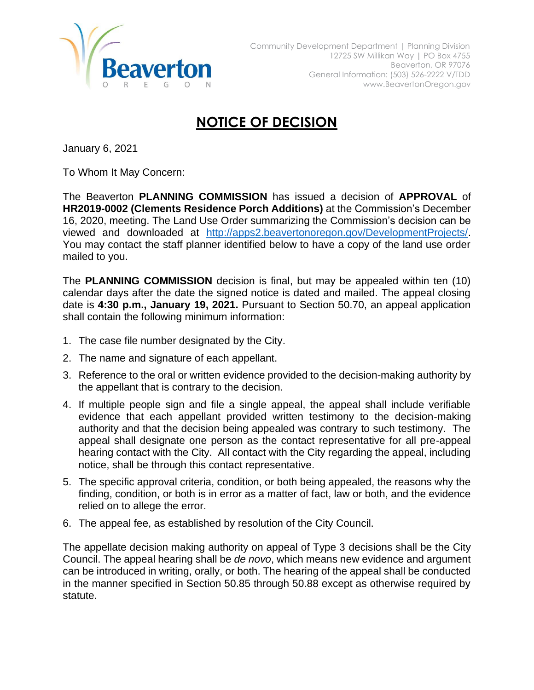

## **NOTICE OF DECISION**

January 6, 2021

To Whom It May Concern:

The Beaverton **PLANNING COMMISSION** has issued a decision of **APPROVAL** of **HR2019-0002 (Clements Residence Porch Additions)** at the Commission's December 16, 2020, meeting. The Land Use Order summarizing the Commission's decision can be viewed and downloaded at [http://apps2.beavertonoregon.gov/DevelopmentProjects/.](http://apps2.beavertonoregon.gov/DevelopmentProjects/) You may contact the staff planner identified below to have a copy of the land use order mailed to you.

The **PLANNING COMMISSION** decision is final, but may be appealed within ten (10) calendar days after the date the signed notice is dated and mailed. The appeal closing date is **4:30 p.m., January 19, 2021.** Pursuant to Section 50.70, an appeal application shall contain the following minimum information:

- 1. The case file number designated by the City.
- 2. The name and signature of each appellant.
- 3. Reference to the oral or written evidence provided to the decision-making authority by the appellant that is contrary to the decision.
- 4. If multiple people sign and file a single appeal, the appeal shall include verifiable evidence that each appellant provided written testimony to the decision-making authority and that the decision being appealed was contrary to such testimony. The appeal shall designate one person as the contact representative for all pre-appeal hearing contact with the City. All contact with the City regarding the appeal, including notice, shall be through this contact representative.
- 5. The specific approval criteria, condition, or both being appealed, the reasons why the finding, condition, or both is in error as a matter of fact, law or both, and the evidence relied on to allege the error.
- 6. The appeal fee, as established by resolution of the City Council.

The appellate decision making authority on appeal of Type 3 decisions shall be the City Council. The appeal hearing shall be *de novo*, which means new evidence and argument can be introduced in writing, orally, or both. The hearing of the appeal shall be conducted in the manner specified in Section 50.85 through 50.88 except as otherwise required by statute.